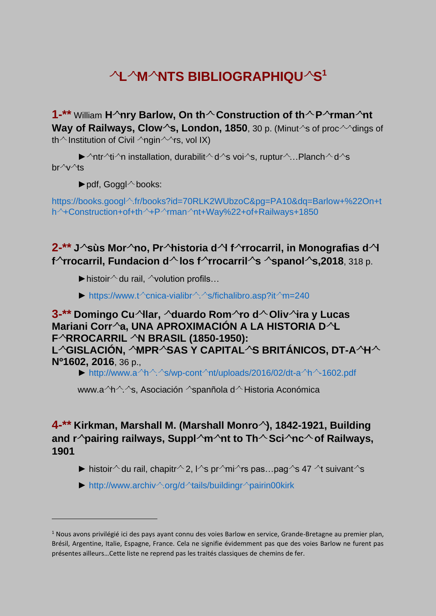# **L M NTS BIBLIOGRAPHIQU S 1**

**1-\*\*** William H<sup> $\wedge$ </sup>nry Barlow, On th $\wedge$  Construction of th $\wedge$  P $\wedge$ rman $\wedge$ nt **Way of Railways, Clow<sup>** $\sim$ **</sup>s, London, 1850**, 30 p. (Minut  $\sim$ s of proc $\sim$  dings of th  $\sim$  Institution of Civil  $\sim$ ngin $\sim$ rs, vol IX)

 $\blacktriangleright$   $\land$ ntr $\land$ ti $\land$ n installation, durabilit $\land$  d $\land$ s voi $\land$ s, ruptur $\land$ ...Planch $\land$  d $\land$ s  $hr^{\wedge}v^{\wedge}$ ts

 $\blacktriangleright$  pdf, Goggl $\land$  books:

https://books.googl^[.fr/books?id=70RLK2WUbzoC&pg=PA10&dq=Barlow+%22On+t](https://books.google.fr/books?id=70RLK2WUbzoC&pg=PA10&dq=Barlow+%22On+the+Construction+of+the+Permanent+Way%22+of+Railways+1850) h + Construction+of+th +P  $\gamma$ man [nt+Way%22+of+Railways+1850](https://books.google.fr/books?id=70RLK2WUbzoC&pg=PA10&dq=Barlow+%22On+the+Construction+of+the+Permanent+Way%22+of+Railways+1850)

**2-\*\* J sùs Mor no, Pr historia d l f rrocarril, in Monografias d l f rocarril, Fundacion d los f rocarril s spanol s,2018**, 318 p.

 $\blacktriangleright$  histoir $\land$  du rail,  $\land$  volution profils...

► https://www.t^cnica-vialibr $\sqrt{2}$ [s/fichalibro.asp?it](https://www.tecnica-vialibre.es/fichalibro.asp?item=240) $\sqrt{m}=240$ 

 $3$ <sup>-\*\*</sup> Domingo Cu $\sim$ llar,  $\sim$ duardo Rom $\sim$ ro d $\sim$ Oliv $\sim$ ira y Lucas **Mariani Corr a, UNA APROXIMACIÓN A LA HISTORIA D L F RROCARRIL ^N BRASIL (1850-1950): L GISLACIÓN, MPR SAS Y CAPITAL S BRITÁNICOS, DT-A H Nº1602, 2016**, 36 p.,

▶ http://www.a $\rightarrow$ h $\land$ . $\land$ s/wp-cont $\land$ [nt/uploads/2016/02/dt-a](http://www.aehe.es/wp-content/uploads/2016/02/dt-aehe-1602.pdf) $\land$ h $\land$ -1602.pdf

www.a h ^ s, Asociación aspanñola d Historia Aconómica

**4-\*\* Kirkman, Marshall M. (Marshall Monro ), 1842-1921, Building and r pairing railways, Suppl m nt to Th Sci nc of Railways, 1901**

- **►** histoir $\sim$  du rail, chapitr $\sim$  2,  $\sim$ s pr $\sim$ mi $\sim$ rs pas...pag $\sim$ s 47  $\sim$ t suivant $\sim$ s
- $\blacktriangleright$  [http://www.archiv](http://www.archive.org/details/buildingrepairin00kirk)  $\land$ .org/d  $\land$ tails/buildingr  $\land$ pairin00kirk

 $1$  Nous avons privilégié ici des pays ayant connu des voies Barlow en service, Grande-Bretagne au premier plan, Brésil, Argentine, Italie, Espagne, France. Cela ne signifie évidemment pas que des voies Barlow ne furent pas présentes ailleurs…Cette liste ne reprend pas les traités classiques de chemins de fer.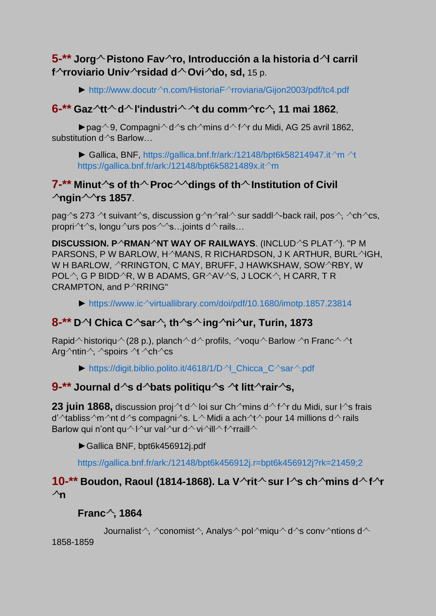## **5-\*\* Jorg Pistono Fav ro, Introducción a la historia d l carril**  f<sup> $\wedge$ </sup>rroviario Univ $\wedge$ rsidad d $\wedge$ Ovi $\wedge$ do, sd, 15 p.

► http://www.docutr^n.com/HistoriaF^[rroviaria/Gijon2003/pdf/tc4.pdf](http://www.docutren.com/HistoriaFerroviaria/Gijon2003/pdf/tc4.pdf)

#### **6-\*\* Gaz tt d l'industri t du comm rc , 11 mai 1862**,

▶pag  $\sim$  9, Compagni $\sim$  d  $\sim$ s ch  $\sim$ mins d  $\sim$  f $\sim$ r du Midi, AG 25 avril 1862, substitution  $d^{\wedge}$ s Barlow...

► Gallica, BNF, [https://gallica.bnf.fr/ark:/12148/bpt6k58214947.it](https://gallica.bnf.fr/ark:/12148/bpt6k58214947.item%20et%20https:/gallica.bnf.fr/ark:/12148/bpt6k5821489x.item) $\land$ m $\land$ t [https://gallica.bnf.fr/ark:/12148/bpt6k5821489x.it](https://gallica.bnf.fr/ark:/12148/bpt6k58214947.item%20et%20https:/gallica.bnf.fr/ark:/12148/bpt6k5821489x.item)<sup>1</sup>m

#### **7-\*\*** Minut  $\sim$ s of th $\sim$  Proc  $\sim$  dings of th $\sim$  Institution of Civil  $\lambda$ ngin $\sim$ rs 1857.

pag^s 273 ^t suivant^s, discussion g  $\gamma$ n  $\gamma$ ral  $\sim$  sur saddl  $\sim$ back rail, pos  $\gamma$ ,  $\sim$ ch  $\gamma$ cs, propri $\Lambda$ t $\sim$ s, longu $\Lambda$ urs pos $\sim$ s... joints d $\Lambda$  rails...

**DISCUSSION. PARMANANT WAY OF RAILWAYS. (INCLUDAS PLATA). "PM** PARSONS, P W BARLOW, H^MANS, R RICHARDSON, J K ARTHUR, BURL^IGH, W H BARLOW, ARRINGTON, C MAY, BRUFF, J HAWKSHAW, SOWARBY, W POL $\land$ , G P BIDD $\land$ R, W B ADAMS, GR $\land$ AV $\land$ S, J LOCK $\land$ , H CARR, T R CRAMPTON, and P^RRING"

 $\triangleright$  https://www.ic<sup> $\sim$ </sup>[virtuallibrary.com/doi/pdf/10.1680/imotp.1857.23814](https://www.icevirtuallibrary.com/doi/pdf/10.1680/imotp.1857.23814)

#### **8-\*\* D l Chica C sar , th s ing ni ur, Turin, 1873**

Rapid historiqu  $\land$  (28 p.), planch  $\land$  d  $\land$  profils,  $\land$ voqu  $\land$  Barlow  $\land$ n Franc  $\land$   $\land$ t Arg  $\lambda$ ntin  $\lambda$ ,  $\lambda$ spoirs  $\lambda$ t  $\lambda$ ch $\lambda$ cs

▶ [https://digit.biblio.polito.it/4618/1/D](https://digit.biblio.polito.it/4618/1/Del_Chicca_Cesare.pdf) $\gamma$  Chicca C $\gamma$ sar $\gamma$ .pdf

#### **9-**\*\* Journal d<sup> $\wedge$ </sup>s d $\wedge$ bats politiqu $\wedge$ s  $\wedge$ t litt $\wedge$ rair $\wedge$ s,

**23 juin 1868,** discussion proj $\Lambda$ t d $\Lambda$  loi sur Ch $\Lambda$ mins d $\Lambda$ f $\Lambda$ r du Midi, sur l $\Lambda$ s frais d'  $\lambda$ tabliss  $\gamma$ m $\gamma$ nt d $\gamma$ s compagni $\gamma$ s. L $\sim$ Midi a ach $\gamma$ t $\sim$ pour 14 millions d $\sim$ rails Barlow qui n'ont qu $\sim$  l $\sim$ ur val $\sim$ ur d $\sim$  vi $\sim$ ill $\sim$  f $\sim$ rraill $\sim$ 

►Gallica BNF, bpt6k456912j.pdf

<https://gallica.bnf.fr/ark:/12148/bpt6k456912j.r=bpt6k456912j?rk=21459;2>

#### **10-\*\*** Boudon, Raoul (1814-1868). La V  $\gamma$ rit $\sim$  sur l  $\gamma$ s ch $\sim$ mins d $\sim$  f $\sim$ r  $\lambda$ n

#### **Franc , 1864**

```
Journalist \gamma, \gamma conomist \gamma, Analys \gamma pol\gammamiqu \gamma d \gammas conv \gammantions d \gamma
```
1858-1859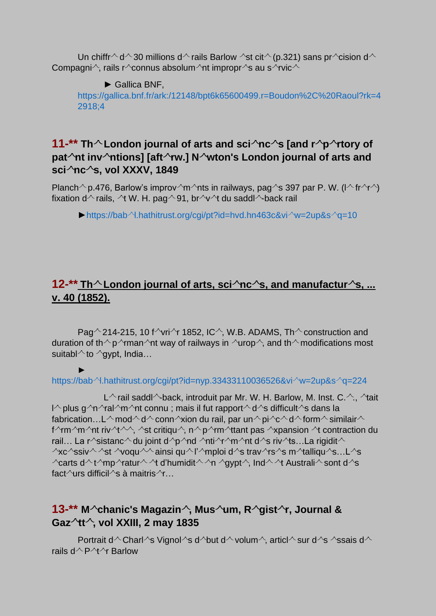Un chiffr  $\sim$  d  $\sim$  30 millions d  $\sim$  rails Barlow  $\sim$ st cit  $\sim$  (p.321) sans pr  $\sim$ cision d  $\sim$ Compagni $\wedge$ , rails r $\wedge$ connus absolum $\wedge$ nt impropr $\wedge$ s au s $\wedge$ rvic $\wedge$ 

► Gallica BNF,

[https://gallica.bnf.fr/ark:/12148/bpt6k65600499.r=Boudon%2C%20Raoul?rk=4](https://gallica.bnf.fr/ark:/12148/bpt6k65600499.r=Boudon%2C%20Raoul?rk=42918;4) [2918;4](https://gallica.bnf.fr/ark:/12148/bpt6k65600499.r=Boudon%2C%20Raoul?rk=42918;4)

#### **11-\*\*** Th  $\sim$  London journal of arts and sci $\sim$ nc  $\sim$ s [and r $\sim$ p $\sim$ rtory of **pat nt inv ntions] [aft rw.] N wton's London journal of arts and sci nc s, vol XXXV, 1849**

Planch  $\degree$  p.476, Barlow's improv  $\degree$ m $\degree$ nts in railways, pag $\degree$ s 397 par P. W. (l $\degree$  fr $\degree$ r $\degree$ ) fixation d $\sim$  rails,  $\sim$ t W. H. pag $\sim$  91, br $\sim$ v $\sim$ t du saddl $\sim$ -back rail

 $\blacktriangleright$  https://bab <sup>2</sup>.hathitrust.org/cgi/pt?id=hvd.hn463c&vi  $\blacktriangle$ w=2up&s  $\vartriangle$ g=10

# **12-\*\*** Th  $\sim$  London journal of arts, sci $\sim$ nc $\sim$ s, and manufactur $\sim$ s, ... **v. 40 (1852).**

Pag  $\sim$  214-215, 10 f  $\sim$ vri $\sim$ r 1852, IC $\sim$ , W.B. ADAMS, Th $\sim$  construction and duration of th  $\gamma$  man  $\gamma$ nt way of railways in  $\gamma$ urop  $\gamma$ , and th  $\gamma$  modifications most suitabl $\wedge$  to  $\wedge$ gypt, India...

#### ► https://bab <sup>2</sup>.hathitrust.org/cgi/pt?id=nyp.33433110036526&vi w=2up&s  $q$ =224

L $\wedge$  rail saddl $\wedge$ back, introduit par Mr. W. H. Barlow, M. Inst. C. $\wedge$ .  $\wedge$ tait l^ plus g^n^ral^m^nt connu ; mais il fut rapport^ d^s difficult^s dans la fabrication…L  $\land$  mod  $\land$  d  $\land$  conn  $\land$ xion du rail, par un  $\land$  pi $\land$ c  $\land$  d  $\land$  form  $\land$  similair  $\land$ f^rm^m^nt riv^t^^, ^st critiqu^, n^ p^rm^ttant pas ^xpansion ^t contraction du rail… La r^sistanc^ du joint d nd nti r m nti d s riv ts...La rigidit  $\sim$  $\alpha$ xc $\alpha$ ssiv $\alpha$   $\alpha$ st  $\alpha$ voqu $\alpha$ ainsi qu $\alpha$ l' mploi d $\alpha$ s trav $\alpha$ rs  $\alpha$ s m $\alpha$ talliqu $\alpha$ s…L $\alpha$ s  $\lambda$ carts d $\lambda$ t $\lambda$ mp $\lambda$ ratur $\lambda$  $\lambda$ t d'humidit $\lambda \lambda$ n  $\lambda$ qvpt $\lambda$ , Ind $\lambda \lambda$ t Australi $\lambda$ sont d $\lambda$ s fact $\sqrt{\text{u} \cdot \text{u}}$  difficil $\sqrt{\text{s}}$  à maitris $\sqrt{\text{f}}$ ...

# **13-\*\* M chanic's Magazin , Mus um, R gist r, Journal & Gaz tt , vol XXIII, 2 may 1835**

Portrait d^ Charl^s Vignol^s d^but d^ volum^, articl^ sur d^s ^ssais d^ rails  $d^{\wedge} P^{\wedge} t^{\wedge}$  Barlow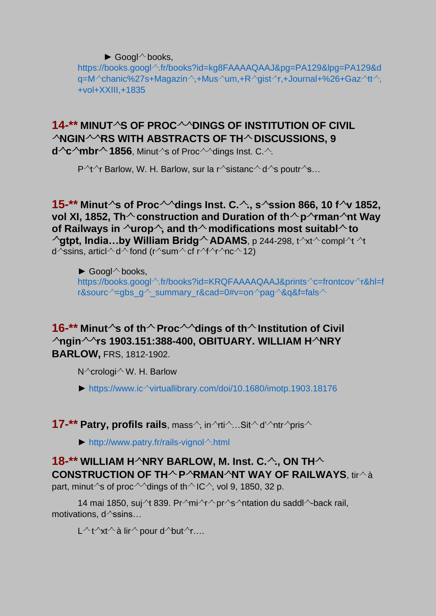$\blacktriangleright$  Googl $\land$  books,

https://books.googl^[.fr/books?id=kg8FAAAAQAAJ&pg=PA129&lpg=PA129&d](https://books.google.fr/books?id=kg8FAAAAQAAJ&pg=PA129&lpg=PA129&dq=Mechanic%27s+Magazine,+Museum,+Register,+Journal+%26+Gazette,+vol+XXIII,+1835%20)  $q=M^{\wedge}$ [chanic%27s+Magazin](https://books.google.fr/books?id=kg8FAAAAQAAJ&pg=PA129&lpg=PA129&dq=Mechanic%27s+Magazine,+Museum,+Register,+Journal+%26+Gazette,+vol+XXIII,+1835%20) $\wedge$ ,+Mus $^{\wedge}$ um,+R $^{\wedge}$ gist $^{\wedge}$ r,+Journal+%26+Gaz $^{\wedge}$ tt $^{\wedge}$ , [+vol+XXIII,+1835](https://books.google.fr/books?id=kg8FAAAAQAAJ&pg=PA129&lpg=PA129&dq=Mechanic%27s+Magazine,+Museum,+Register,+Journal+%26+Gazette,+vol+XXIII,+1835%20)

# **14-\*\* MINUT S OF PROC DINGS OF INSTITUTION OF CIVIL ANGINARS WITH ABSTRACTS OF THA DISCUSSIONS, 9**

**d** $\sim$ **c** $\sim$ **mbr** $\sim$ **1856**, Minut $\sim$ s of Proc $\sim$  $\sim$ dings Inst. C. $\sim$ .

P  $\Upsilon$   $\Upsilon$  Barlow, W. H. Barlow, sur la r  $\gamma$ sistanc  $\sim$  d  $\gamma$ s poutr  $\gamma$ s...

#### **15-\*\* Minut s of Proc dings Inst. C. ., s ssion 866, 10 f v 1852, vol XI, 1852, Th**  $\sim$  **construction and Duration of th**  $\sim$  **p**  $\sim$  **rman** $\sim$ **nt Way of Railways in**  $\sqrt{u}$ **rop** $\hat{}$ , and th $\hat{}$  modifications most suitabl $\hat{}$  to  $\lambda$ gtpt, India...by William Bridg<sup> $\lambda$ </sup> ADAMS, p 244-298, t $\lambda$ t $\lambda$  compl $\lambda$ t  $\lambda$ t d^ssins, articl^d^fond (r^sum^cf r^f^r^nc^12)

 $\blacktriangleright$  Googl $\land$  books, https://books.googl^[.fr/books?id=KRQFAAAAQAAJ&prints](https://books.google.fr/books?id=KRQFAAAAQAAJ&printsec=frontcover&hl=fr&source=gbs_ge_summary_r&cad=0%23v=onepage&q&f=false)^c=frontcov^r&hl=f r&sourc  $\approx$ =gbs\_g  $\land$  summary\_r&cad=0#v=on pag  $\&q$ ag&f=fals  $\land$ 

#### 16-<sup>\*\*</sup> Minut<sup> $\sim$ </sup>s of th $\sim$  Proc $\sim$  dings of th $\sim$  Institution of Civil **ngin rs 1903.151:388-400, OBITUARY. WILLIAM H NRY BARLOW,** FRS, 1812-1902.

 $N^{\wedge}$ crologi $^{\wedge}$  W. H. Barlow

 $\blacktriangleright$  https://www.ic $\land$ [virtuallibrary.com/doi/10.1680/imotp.1903.18176](https://www.icevirtuallibrary.com/doi/10.1680/imotp.1903.18176)

#### **17-\*\* Patry, profils rails**, mass  $\hat{}$ , in  $\hat{}$ rti $\hat{}$ ...Sit $\hat{}$  d'  $\hat{}$ ntr $\hat{}$ pris $\hat{}$

 $\blacktriangleright$  [http://www.patry.fr/rails-vignol](http://www.patry.fr/rails-vignole.html) $\triangle$ .html

# **18-\*\* WILLIAM HARY BARLOW, M. Inst. C. A., ON THA CONSTRUCTION OF TH^P^RMAN^NT WAY OF RAILWAYS, tir^à**

part, minut  $\sim$ s of proc  $\sim$  dings of th  $\sim$  IC $\sim$ , vol 9, 1850, 32 p.

14 mai 1850, suj <sup>1</sup> 839. Pr  $\gamma$ mi  $\gamma \sim$  pr  $\gamma$ s  $\gamma$ ntation du saddl  $\gamma$ -back rail, motivations,  $d^{\wedge}$ ssins...

 $L^\wedge t^\wedge x t^\wedge a$  lir  $^\wedge$  pour d  $^\wedge$ but  $^\wedge$ r….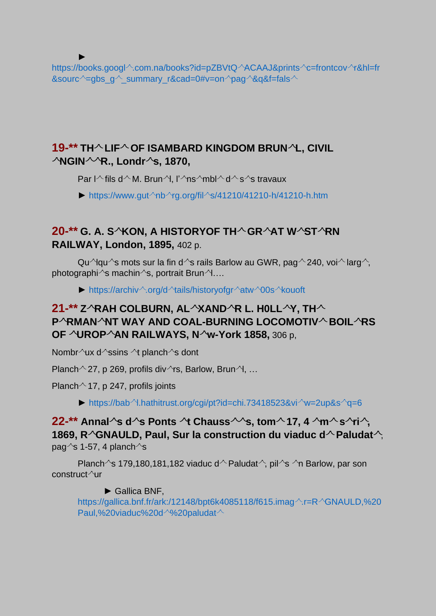► https://books.googl^[.com.na/books?id=pZBVtQ](https://books.google.com.na/books?id=pZBVtQEACAAJ&printsec=frontcover&hl=fr&source=gbs_ge_summary_r&cad=0%23v=onepage&q&f=false%20)^ACAAJ&prints^c=frontcov^r&hl=fr &sourc  $\sim$  =gbs g  $\sim$  summary r&cad=0#v=on pag  $\&$  q&f=fals  $\sim$ 

# **19-\*\* TH LIF OF ISAMBARD KINGDOM BRUN L, CIVIL NGIN R., Londr s, 1870,**

Par I $\wedge$  fils d $\wedge$  M. Brun $\wedge$ , l' $\wedge$ ns $\wedge$ mbl $\wedge$  d $\wedge$  s $\wedge$ s travaux

 $\blacktriangleright$  https://www.gut nb rg.org/fil [s/41210/41210-h/41210-h.htm](https://www.gutenberg.org/files/41210/41210-h/41210-h.htm)

# **20-\*\* G. A. S<sup>2</sup>KON, A HISTORYOF TH<sup>2</sup> GR<sup>2</sup>AT WASTARN RAILWAY, London, 1895,** 402 p.

Qu^lqu^s mots sur la fin d^s rails Barlow au GWR, pag^240, voi^larg^, photographi $\gamma$ s machin $\gamma$ s, portrait Brun $\gamma$ ....

► https://archiv .org/d \[tails/historyofgr](https://archive.org/details/historyofgreatwe00sekouoft) \atw \00s \kouoft

# **21-\*\* Z RAH COLBURN, AL XAND R L. H0LL Y, TH P RMAN NT WAY AND COAL-BURNING LOCOMOTIV BOIL RS OF UROP AN RAILWAYS, N w-York 1858,** 306 p,

Nombr $\sqrt{u}x$  d $\sqrt{s}$ ssins  $\sqrt{s}$  planch $\sqrt{s}$  dont

Planch  $\sim$  27, p 269, profils div $\sim$ rs, Barlow, Brun $\sim$ l, ...

Planch  $\sim$  17, p 247, profils joints

► https://bab $\gamma$ [l.hathitrust.org/cgi/pt?id=chi.73418523&vi](https://babel.hathitrust.org/cgi/pt?id=chi.73418523&view=2up&seq=6) $\gamma w$ =2up&s $\gamma q$ =6

**22-\*\*** Annal **s** d s Ponts <sup>2</sup>t Chauss  $\sim$  s, tom  $\sim$  17, 4  $\sim$  m  $\sim$  s  $\sim$  ri $\sim$ , **1869, R<sup>** $\wedge$ **</sup>GNAULD, Paul, Sur la construction du viaduc d<sup>** $\wedge$ **</sup> Paludat** $\wedge$ **.** pag $\textdegree$ s 1-57, 4 planch $\textdegree$ s

Planch  $\sim$ s 179,180,181,182 viaduc d  $\sim$  Paludat $\sim$ , pil  $\sim$ s  $\sim$ n Barlow, par son  $constant<sup>1</sup>$ ur

► Gallica BNF,

[https://gallica.bnf.fr/ark:/12148/bpt6k4085118/f615.imag](https://gallica.bnf.fr/ark:/12148/bpt6k4085118/f615.image.r=REGNAULD,%20Paul,%20viaduc%20de%20paludate)  $\sim$ .r=R  $\sim$ GNAULD,%20 [Paul,%20viaduc%20d](https://gallica.bnf.fr/ark:/12148/bpt6k4085118/f615.image.r=REGNAULD,%20Paul,%20viaduc%20de%20paludate)<sup>2</sup>%20paludat<sup>2</sup>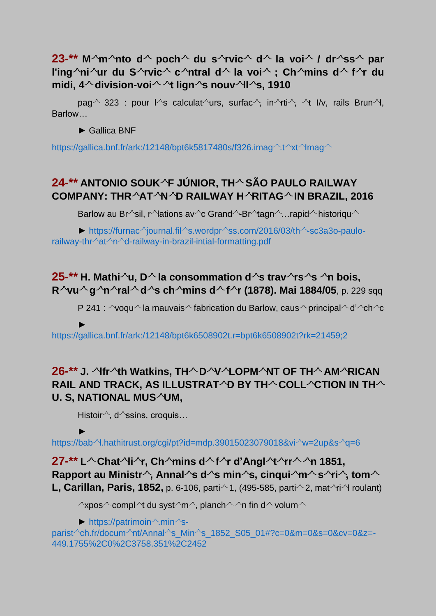#### **23-\*\*** M $\sim$ m $\sim$ nto d $\sim$  poch $\sim$  du s $\sim$ rvic $\sim$  d $\sim$  la voi $\sim$  / dr $\sim$ ss $\sim$  par **l'ing**  $\infty$  ni $\infty$ **ur du S**  $\infty$ **rvic**  $\sim$  **c**  $\infty$  ntral d $\sim$  la voi $\sim$  **; Ch**  $\infty$  mins d $\sim$  f $\infty$  du **midi, 4 division-voi t lign s nouv ll s, 1910**

pag  $\sim$  323 : pour l  $\sim$ s calculat  $\sim$ urs, surfac $\sim$ , in  $\sim$ rti $\sim$ ,  $\sim$ t l/v, rails Brun $\sim$ l, Barlow…

► Gallica BNF

[https://gallica.bnf.fr/ark:/12148/bpt6k5817480s/f326.imag](https://gallica.bnf.fr/ark:/12148/bpt6k5817480s/f326.image.texteImage)  $\text{At} \text{At} \text{At}$ mag  $\text{At}$ 

# **24-\*\* ANTONIO SOUK F JÚNIOR, TH SÃO PAULO RAILWAY COMPANY: THR AT N D RAILWAY H RITAG IN BRAZIL, 2016**

Barlow au Br^sil, r^lations av^c Grand^-Br^tagn^...rapid^ historiqu^

 $\blacktriangleright$  https://furnac iournal.fil s.wordpr [ss.com/2016/03/th](https://furnacejournal.files.wordpress.com/2016/03/the-sc3a3o-paulo-railway-threatened-railway-in-brazil-intial-formatting.pdf) sc3a3o-paulorailway-thr $\sqrt{\alpha}$ t $\sim$ [d-railway-in-brazil-intial-formatting.pdf](https://furnacejournal.files.wordpress.com/2016/03/the-sc3a3o-paulo-railway-threatened-railway-in-brazil-intial-formatting.pdf)

#### **25-\*\*** H. Mathi $\sim$ u, D $\sim$  la consommation d $\sim$ s trav $\sim$ rs $\sim$ s  $\sim$ n bois, **R**  $\sqrt{vu}$  **g**  $\sqrt{nu}$  **d**  $\sqrt{s}$  **ch**  $\sqrt{min}$  **d**  $\sqrt{f}$  (1878). Mai 1884/05, p. 229 sqq

P 241 :  $\sim$ voqu $\sim$ la mauvais $\sim$ fabrication du Barlow, caus $\sim$ principal $\sim$ d' $\sim$ ch $\sim$ c

►

<https://gallica.bnf.fr/ark:/12148/bpt6k6508902t.r=bpt6k6508902t?rk=21459;2>

# **26-\*\* J. lfr th Watkins, TH D V LOPM NT OF TH AM RICAN RAIL AND TRACK, AS ILLUSTRAT D BY TH COLL CTION IN TH** U. S, NATIONAL MUS<sup>A</sup>UM,

Histoir $\land$ , d $\land$ ssins, croquis...

►

https://bab^[l.hathitrust.org/cgi/pt?id=mdp.39015023079018&vi](https://babel.hathitrust.org/cgi/pt?id=mdp.39015023079018&view=2up&seq=6)^w=2up&s^q=6

**27-\*\* L Chat li r, Ch mins d f r d'Angl t rr n 1851, Rapport au Ministr**<sup> $\wedge$ </sup>, Annal<sup> $\wedge$ </sup>s d<sup> $\wedge$ </sup>s min $\wedge$ s, cinqui $\wedge$ m $\wedge$ s $\wedge$ ri $\wedge$ , tom $\wedge$ **L, Carillan, Paris, 1852,** p. 6-106, parti $\sim$  1, (495-585, parti $\sim$  2, mat $\sim$ ri $\sim$ l roulant)

 $\sim$ xpos $\sim$ compl $\sim$ t du syst $\sim$ m $\sim$ , planch $\sim$   $\sim$ n fin d $\sim$  volum $\sim$ 

 $\blacktriangleright$  [https://patrimoin](https://patrimoine.mines-paristech.fr/document/Annales_Mines_1852_S05_01#?c=0&m=0&s=0&cv=0&z=-449.1755%2C0%2C3758.351%2C2452)<sup> $\land$ </sup>.min $\land$ s-

parist ch.fr/docum nt/Annal s\_Min [s\\_1852\\_S05\\_01#?c=0&m=0&s=0&cv=0&z=-](https://patrimoine.mines-paristech.fr/document/Annales_Mines_1852_S05_01#?c=0&m=0&s=0&cv=0&z=-449.1755%2C0%2C3758.351%2C2452) [449.1755%2C0%2C3758.351%2C2452](https://patrimoine.mines-paristech.fr/document/Annales_Mines_1852_S05_01#?c=0&m=0&s=0&cv=0&z=-449.1755%2C0%2C3758.351%2C2452)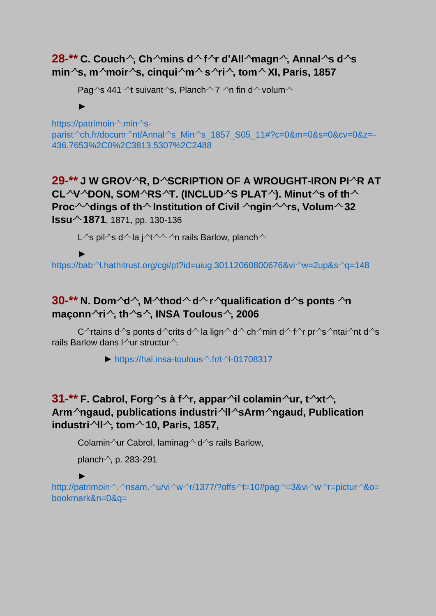#### **28-\*\*** C. Couch  $\hat{ }$ , Ch  $\hat{}$ mins d  $\hat{}$  f  $\hat{}$ r d'All $\hat{}$ magn  $\hat{}$ , Annal  $\hat{}$ s d  $\hat{}$ s **min s, m moir s, cinqui m s ri , tom XI, Paris, 1857**

Pag $\gamma$ s 441  $\gamma$ t suivant $\gamma$ s, Planch $\gamma$  7  $\gamma$ n fin d $\gamma$  volum $\gamma$ 

#### ►

[https://patrimoin](https://patrimoine.mines-paristech.fr/document/Annales_Mines_1857_S05_11#?c=0&m=0&s=0&cv=0&z=-436.7653%2C0%2C3813.5307%2C2488) $\wedge$ min $\wedge$ sparist <sup>2</sup>ch.fr/docum <sup>2</sup>nt/Annal s\_Min [s\\_1857\\_S05\\_11#?c=0&m=0&s=0&cv=0&z=-](https://patrimoine.mines-paristech.fr/document/Annales_Mines_1857_S05_11#?c=0&m=0&s=0&cv=0&z=-436.7653%2C0%2C3813.5307%2C2488) [436.7653%2C0%2C3813.5307%2C2488](https://patrimoine.mines-paristech.fr/document/Annales_Mines_1857_S05_11#?c=0&m=0&s=0&cv=0&z=-436.7653%2C0%2C3813.5307%2C2488)

**29-\*\* J W GROV R, D SCRIPTION OF A WROUGHT-IRON PI R AT CL V DON, SOM RS T. (INCLUD S PLAT ). Minut s of th Proc** <sup> $\sim$ </sup> dings of th  $\sim$  Institution of Civil  $\sim$  ngin $\sim$   $\sim$  rs, Volum $\sim$  32 **Issu 1871**, 1871, pp. 130-136

L<sup> $\wedge$ </sup>s pil $\wedge$ s d $\wedge$  la i $\wedge$ t $\wedge\wedge\wedge\wedge$ n rails Barlow, planch $\wedge$ 

#### ►

https://bab <sup>2</sup>.hathitrust.org/cgi/pt?id=uiug.30112060800676&vi w=2up&s  $q$ =148

# **30-\*\*** N. Dom<sup> $\sim$ </sup>d<sup> $\sim$ </sup>, M $\sim$ thod $\sim$  d $\sim$  r $\sim$ qualification d $\sim$ s ponts  $\sim$ n **maçonn ri , th s , INSA Toulous , 2006**

C<sup> $\land$ </sup>rtains d $\land$ s ponts d $\land$ crits d $\land$  la lign $\land$  d $\land$  ch $\land$ min d $\land$ f $\land$ r pr $\land$ s $\land$ ntai $\land$ nt d $\land$ s rails Barlow dans l $\sqrt{u}$ r structur $\frac{1}{2}$ .

 $\blacktriangleright$  [https://hal.insa-toulous](https://hal.insa-toulouse.fr/tel-01708317) $\triangle$ .fr/t $\triangle$ -01708317

# **31-\*\*** F. Cabrol, Forg  $\sim$ s à f  $\sim$ r, appar $\sim$ il colamin $\sim$ ur, t $\sim$ xt $\sim$ , **Arm ngaud, publications industri ll sArm ngaud, Publication industri ll , tom 10, Paris, 1857,**

Colamin  $\sqrt{u}$ r Cabrol, laminag  $\sqrt{d}$ s rails Barlow,

planch $\sim$ , p. 283-291

► [http://patrimoin](http://patrimoine.ensam.eu/viewer/1377/?offset=10%23page=3&viewer=picture&o=bookmark&n=0&q=) ^. ^nsam. ^u/vi ^w ^r/1377/?offs ^t=10#pag ^=3&vi ^w ^r=pictur ^&o= [bookmark&n=0&q=](http://patrimoine.ensam.eu/viewer/1377/?offset=10%23page=3&viewer=picture&o=bookmark&n=0&q=)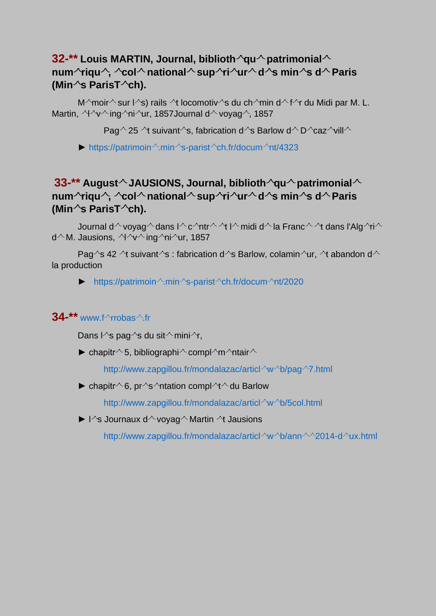#### **32-\*\*** Louis MARTIN, Journal, biblioth  $\alpha$ u $\alpha$  patrimonial  $\alpha$ **num riqu , col national sup ri ur d s min s d Paris (Min s ParisT ch).**

M $\degree$ moir $\degree$ sur l $\degree$ s) rails  $\degree$ t locomotiv $\degree$ s du ch $\degree$ min d $\degree$ f $\degree$ r du Midi par M. L. Martin,  $\gamma \sim \gamma$  ing  $\gamma$ ni  $\gamma$ ur, 1857Journal d voyag  $\gamma$ , 1857

Pag  $\sim$  25  $\,$  suivant  $\sim$ s, fabrication d  $\sim$ s Barlow d $\sim$  D  $\sim$  caz  $\sim$ vill $\sim$ 

 $\blacktriangleright$  [https://patrimoin](https://patrimoine.mines-paristech.fr/document/4323)  $\land$ .min  $\land$ s-parist  $\land$ ch.fr/docum  $\land$ nt/4323

# **33-\*\*** August  $\sim$  JAUSIONS, Journal, biblioth  $\sim$ qu $\sim$  patrimonial  $\sim$ **num riqu , col national sup ri ur d s min s d Paris (Min s ParisT ch).**

Journal d^voyag^ dans l^c^ntr^ ^t l^ midi d^ la Franc^ ^t dans l'Alg ^ri ^  $d^{\wedge}$  M. Jausions,  $\sqrt{2}$  v ing  $\sqrt{2}$  ing  $\sqrt{2}$  ur, 1857

Pag $\sim$ s 42  $\sim$ t suivant $\sim$ s : fabrication d $\sim$ s Barlow, colamin $\sim$ ur,  $\sim$ t abandon d $\sim$ la production

 $\blacktriangleright$  [https://patrimoin](https://patrimoine.mines-paristech.fr/document/2020)  $\land$ min  $\land$ s-parist $\land$ ch.fr/docum $\land$ nt/2020

#### **34-\*\*** www.f $\text{Trobas} \triangle$ fr

Dans l^s pag^s du sit  $\sim$  mini $\sim$ r,

 $\blacktriangleright$  chapitr $\land$  5, bibliographi $\land$  compl $\land$ m $\land$ ntair $\land$ 

[http://www.zapgillou.fr/mondalazac/articl](http://www.zapgillou.fr/mondalazac/articleweb/page7.html)  $\sqrt{\ }$ w b/pag  $\sqrt{7}$ .html

 $\blacktriangleright$  chapitr $\land$ 6, pr $\land$ s $\land$ ntation compl $\land$ t $\land$  du Barlow

[http://www.zapgillou.fr/mondalazac/articl](http://www.zapgillou.fr/mondalazac/articleweb/5col.html#b26)  $\sqrt{\ }$ b/5col.html

 $\blacktriangleright$  l<sup> $\land$ </sup>s Journaux d<sup> $\land$ </sup> voyag $\land$  Martin  $\land$ t Jausions

[http://www.zapgillou.fr/mondalazac/articl](http://www.zapgillou.fr/mondalazac/articleweb/annee2014-deux.html)  $\sqrt{\ }$ w b/ann  $\sqrt{2014}$ -d  $\sqrt{201}$ .html